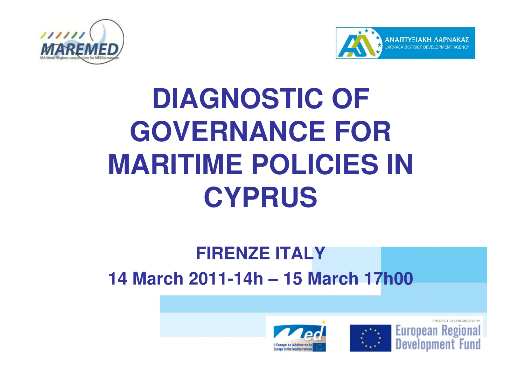



# **DIAGNOSTIC OF GOVERNANCE FOR MARITIME POLICIES IN CYPRUS**

# **FIRENZE ITALY 14 March 2011-14h – 15 March 17h00**



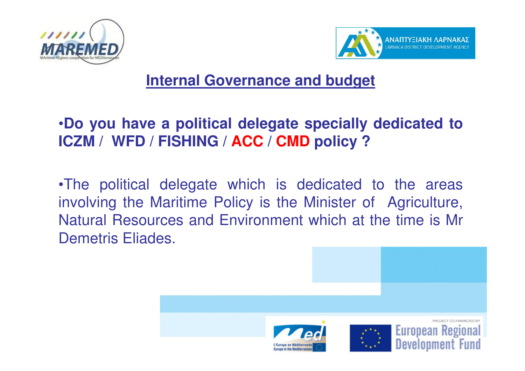



## **Internal Governance and budget**

## •**Do you have a political delegate specially dedicated to ICZM / WFD / FISHING / ACC / CMD policy ?**

•The political delegate which is dedicated to the areas involving the Maritime Policy is the Minister of Agriculture, Natural Resources and Environment which at the time is Mr Demetris Eliades.

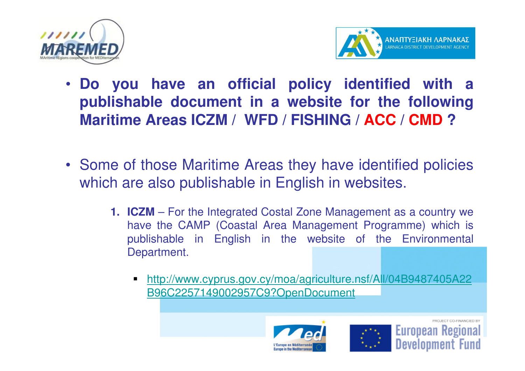



- • **Do you have an official policy identified with a publishable document in a website for the followingMaritime Areas ICZM / WFD / FISHING / ACC / CMD ?**
- Some of those Maritime Areas they have identified policies which are also publishable in English in websites.
	- **1. ICZM** For the Integrated Costal Zone Management as a country we have the CAMP (Coastal Area Management Programme) which is publishable in English in the website of the Environmental Department.
		- http://www.cyprus.gov.cy/moa/agriculture.nsf/All/04B9487405A22 B96C2257149002957C9?OpenDocument



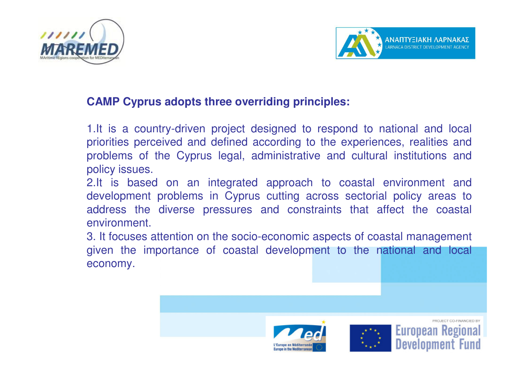



#### **CAMP Cyprus adopts three overriding principles:**

1.It is a country-driven project designed to respond to national and local priorities perceived and defined according to the experiences, realities and problems of the Cyprus legal, administrative and cultural institutions and policy issues.

2.It is based on an integrated approach to coastal environment and development problems in Cyprus cutting across sectorial policy areas to address the diverse pressures and constraints that affect the coastal environment.

3. It focuses attention on the socio-economic aspects of coastal management given the importance of coastal development to the national and local economy.



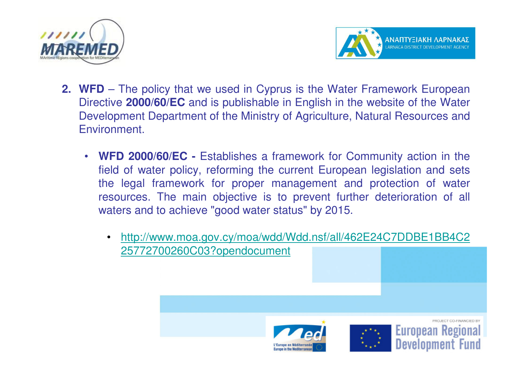



- **2. WFD**  The policy that we used in Cyprus is the Water Framework European Directive **2000/60/EC** and is publishable in English in the website of the Water Development Department of the Ministry of Agriculture, Natural Resources and **Environment** 
	- • **WFD 2000/60/EC -** Establishes a framework for Community action in the field of water policy, reforming the current European legislation and sets the legal framework for proper management and protection of water resources. The main objective is to prevent further deterioration of all waters and to achieve "good water status" by 2015.
		- http://www.moa.gov.cy/moa/wdd/Wdd.nsf/all/462E24C7DDBE1BB4C2 $\bullet$ 25772700260C03?opendocumentPROJECT CO-FINANCIED B' **European Regional Development Fund**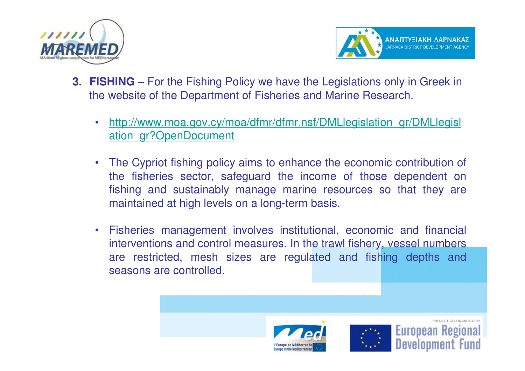



- **3. FISHING –** For the Fishing Policy we have the Legislations only in Greek in the website of the Department of Fisheries and Marine Research.
	- •http://www.moa.gov.cy/moa/dfmr/dfmr.nsf/DMLlegislation\_gr/DMLlegisl ation\_gr?OpenDocument
	- $\bullet$  The Cypriot fishing policy aims to enhance the economic contribution of the fisheries sector, safeguard the income of those dependent on fishing and sustainably manage marine resources so that they aremaintained at high levels on a long-term basis.
	- Fisheries management involves institutional, economic and financial interventions and control measures. In the trawl fishery, vessel numbers are restricted, mesh sizes are regulated and fishing depths and seasons are controlled.



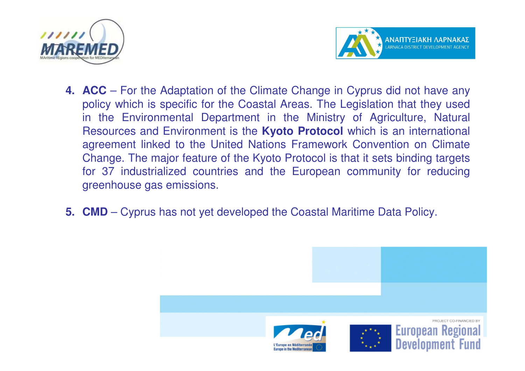



- **4. ACC**  For the Adaptation of the Climate Change in Cyprus did not have any policy which is specific for the Coastal Areas. The Legislation that they used in the Environmental Department in the Ministry of Agriculture, Natural Resources and Environment is the **Kyoto Protocol** which is an international agreement linked to the United Nations Framework Convention on Climate Change. The major feature of the Kyoto Protocol is that it sets binding targets for 37 industrialized countries and the European community for reducing greenhouse gas emissions.
- **5. CMD**  Cyprus has not yet developed the Coastal Maritime Data Policy.

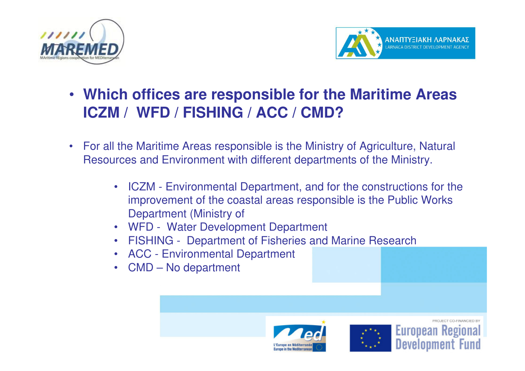



## • **Which offices are responsible for the Maritime Areas ICZM / WFD / FISHING / ACC / CMD?**

- • For all the Maritime Areas responsible is the Ministry of Agriculture, Natural Resources and Environment with different departments of the Ministry.
	- $\bullet$  ICZM - Environmental Department, and for the constructions for the improvement of the coastal areas responsible is the Public WorksDepartment (Ministry of
	- WFD Water Development Department
	- FISHING Department of Fisheries and Marine Research
	- ACC Environmental Department
	- •CMD – No department



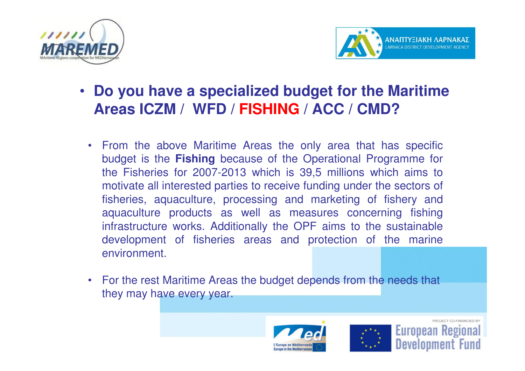



#### • **Do you have a specialized budget for the Maritime Areas ICZM / WFD / FISHING / ACC / CMD?**

- From the above Maritime Areas the only area that has specific budget is the **Fishing** because of the Operational Programme for the Fisheries for 2007-2013 which is 39,5 millions which aims to motivate all interested parties to receive funding under the sectors of fisheries, aquaculture, processing and marketing of fishery and aquaculture products as well as measures concerning fishing infrastructure works. Additionally the OPF aims to the sustainable development of fisheries areas and protection of the marine environment.
- For the rest Maritime Areas the budget depends from the needs that they may have every year.



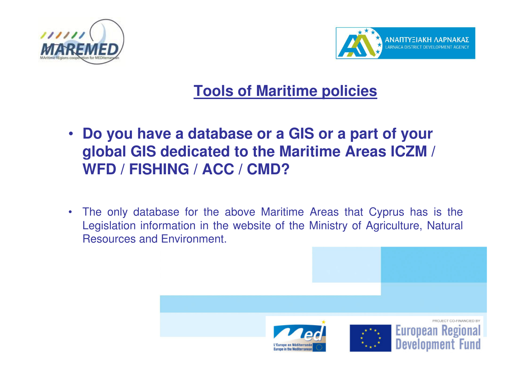



## **Tools of Maritime policies**

- **Do you have a database or a GIS or a part of your global GIS dedicated to the Maritime Areas ICZM / WFD / FISHING / ACC / CMD?**
- • The only database for the above Maritime Areas that Cyprus has is the Legislation information in the website of the Ministry of Agriculture, Natural Resources and Environment.

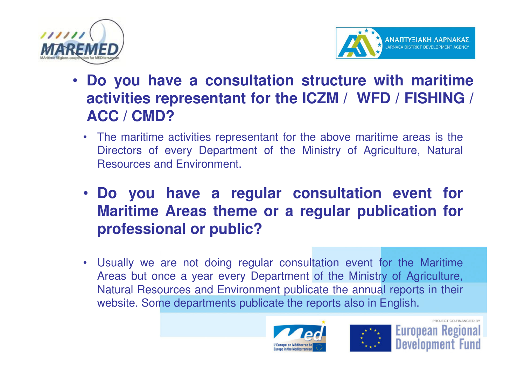



**European Regional** 

**Development Fund** 

- • **Do you have a consultation structure with maritime activities representant for the ICZM / WFD / FISHING / ACC / CMD?** 
	- The maritime activities representant for the above maritime areas is the Directors of every Department of the Ministry of Agriculture, Natural Resources and Environment.
	- **Do you have a regular consultation event for Maritime Areas theme or a regular publication for professional or public?**
	- Usually we are not doing regular consultation event for the Maritime Areas but once a year every Department of the Ministry of Agriculture, Natural Resources and Environment publicate the annual reports in their website. Some departments publicate the reports also in English.

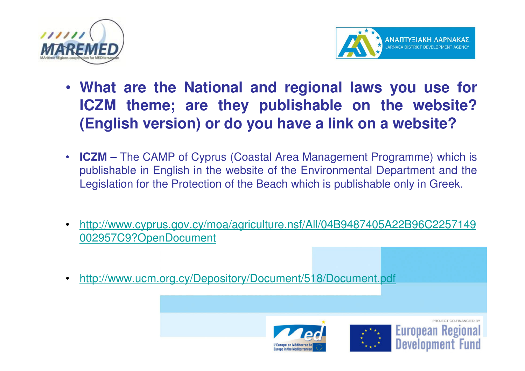



- **What are the National and regional laws you use for ICZM theme; are they publishable on the website? (English version) or do you have a link on a website?**
- **ICZM** The CAMP of Cyprus (Coastal Area Management Programme) which is numbered and the publishable in English in the website of the Environmental Department and the Legislation for the Protection of the Beach which is publishable only in Greek.
- • http://www.cyprus.gov.cy/moa/agriculture.nsf/All/04B9487405A22B96C2257149002957C9?OpenDocument
- •http://www.ucm.org.cy/Depository/Document/518/Document.pdf



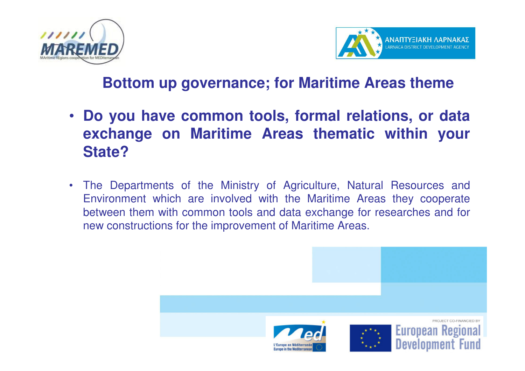



#### **Bottom up governance; for Maritime Areas theme**

- • **Do you have common tools, formal relations, or data exchange on Maritime Areas thematic within your State?**
- The Departments of the Ministry of Agriculture, Natural Resources and Environment which are involved with the Maritime Areas they cooperate between them with common tools and data exchange for researches and for new constructions for the improvement of Maritime Areas.

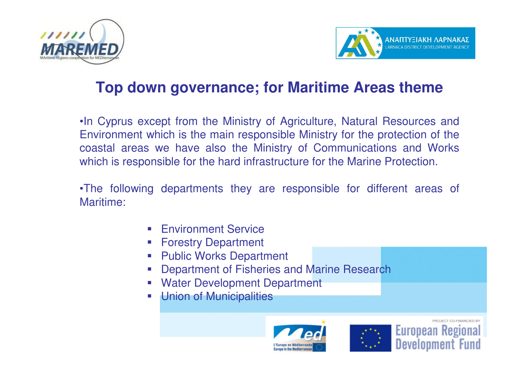



#### **Top down governance; for Maritime Areas theme**

•In Cyprus except from the Ministry of Agriculture, Natural Resources and Environment which is the main responsible Ministry for the protection of the coastal areas we have also the Ministry of Communications and Works which is responsible for the hard infrastructure for the Marine Protection.

•The following departments they are responsible for different areas of Maritime:

- П Environment Service
- **Forestry Department**
- Public Works Department
- П Department of Fisheries and Marine Research
- **Water Development Department**
- L Union of Municipalities



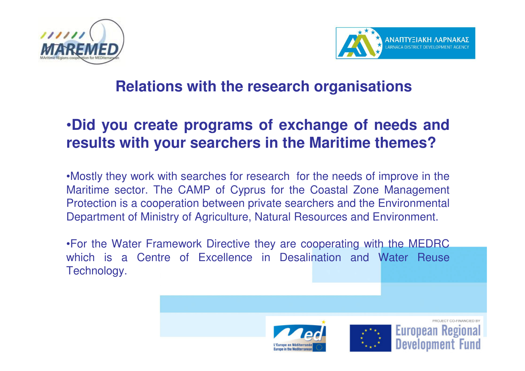



#### **Relations with the research organisations**

## •**Did you create programs of exchange of needs and results with your searchers in the Maritime themes?**

•Mostly they work with searches for research for the needs of improve in the Maritime sector. The CAMP of Cyprus for the Coastal Zone Management Protection is a cooperation between private searchers and the Environmental Department of Ministry of Agriculture, Natural Resources and Environment.

•For the Water Framework Directive they are cooperating with the MEDRC which is a Centre of Excellence in Desalination and Water Reuse Technology.



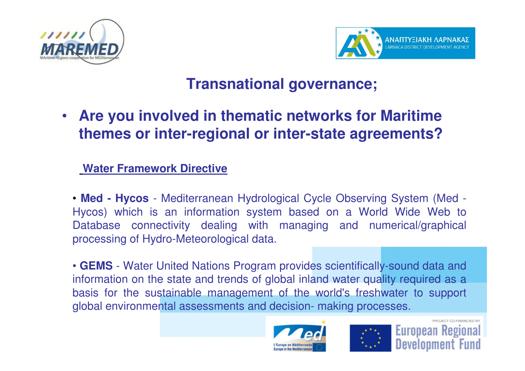



## **Transnational governance;**

• **Are you involved in thematic networks for Maritime themes or inter-regional or inter-state agreements?**

#### **Water Framework Directive**

• **Med - Hycos** - Mediterranean Hydrological Cycle Observing System (Med - Hycos) which is an information system based on a World Wide Web to Database connectivity dealing with managing and numerical/graphical processing of Hydro-Meteorological data.

• **GEMS** - Water United Nations Program provides scientifically-sound data and information on the state and trends of global inland water quality required as a basis for the sustainable management of the world's freshwater to support global environmental assessments and decision- making processes.



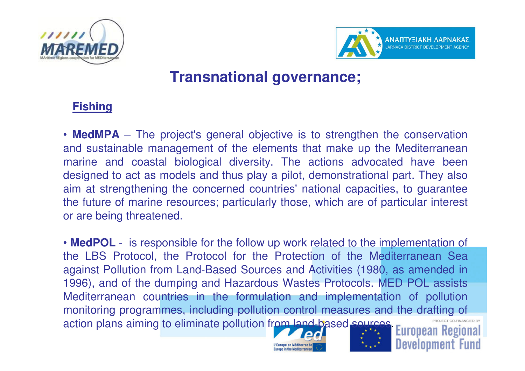



**Development Fund** 

## **Transnational governance;**

#### **Fishing**

• **MedMPA** – The project's general objective is to strengthen the conservation and sustainable management of the elements that make up the Mediterranean marine and coastal biological diversity. The actions advocated have been designed to act as models and thus play a pilot, demonstrational part. They also aim at strengthening the concerned countries' national capacities, to guarantee the future of marine resources; particularly those, which are of particular interest or are being threatened.

• **MedPOL** - is responsible for the follow up work related to the implementation of the LBS Protocol, the Protocol for the Protection of the Mediterranean Sea against Pollution from Land-Based Sources and Activities (1980, as amended in 1996), and of the dumping and Hazardous Wastes Protocols. MED POL assists Mediterranean countries in the formulation and implementation of pollution monitoring programmes, including pollution control measures and the drafting of action plans aiming to eliminate pollution from land-based sources.**European Regional**